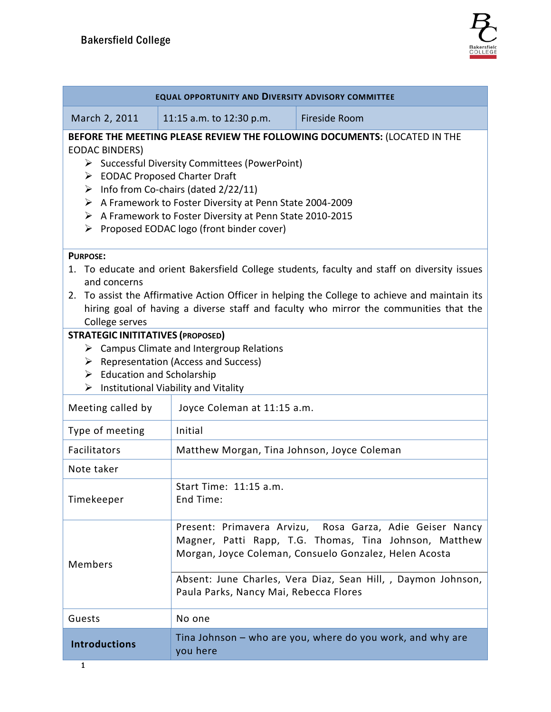| <b>EQUAL OPPORTUNITY AND DIVERSITY ADVISORY COMMITTEE</b>                                                                                                                                                                                                                                                                                                                                                          |                                                                                                                                                                                                                                                                                         |                                                            |  |  |
|--------------------------------------------------------------------------------------------------------------------------------------------------------------------------------------------------------------------------------------------------------------------------------------------------------------------------------------------------------------------------------------------------------------------|-----------------------------------------------------------------------------------------------------------------------------------------------------------------------------------------------------------------------------------------------------------------------------------------|------------------------------------------------------------|--|--|
| March 2, 2011                                                                                                                                                                                                                                                                                                                                                                                                      | 11:15 a.m. to 12:30 p.m.                                                                                                                                                                                                                                                                | Fireside Room                                              |  |  |
| BEFORE THE MEETING PLEASE REVIEW THE FOLLOWING DOCUMENTS: (LOCATED IN THE<br><b>EODAC BINDERS)</b><br>> Successful Diversity Committees (PowerPoint)<br>> EODAC Proposed Charter Draft<br>$\triangleright$ Info from Co-chairs (dated 2/22/11)<br>A Framework to Foster Diversity at Penn State 2004-2009<br>A Framework to Foster Diversity at Penn State 2010-2015<br>▶ Proposed EODAC logo (front binder cover) |                                                                                                                                                                                                                                                                                         |                                                            |  |  |
| <b>PURPOSE:</b><br>1. To educate and orient Bakersfield College students, faculty and staff on diversity issues<br>and concerns<br>2. To assist the Affirmative Action Officer in helping the College to achieve and maintain its<br>hiring goal of having a diverse staff and faculty who mirror the communities that the<br>College serves                                                                       |                                                                                                                                                                                                                                                                                         |                                                            |  |  |
| <b>STRATEGIC INITITATIVES (PROPOSED)</b><br>$\triangleright$ Campus Climate and Intergroup Relations<br>$\triangleright$ Representation (Access and Success)<br>$\triangleright$ Education and Scholarship<br>Institutional Viability and Vitality<br>➤                                                                                                                                                            |                                                                                                                                                                                                                                                                                         |                                                            |  |  |
| Meeting called by<br>Type of meeting                                                                                                                                                                                                                                                                                                                                                                               | Joyce Coleman at 11:15 a.m.<br>Initial                                                                                                                                                                                                                                                  |                                                            |  |  |
| Facilitators                                                                                                                                                                                                                                                                                                                                                                                                       | Matthew Morgan, Tina Johnson, Joyce Coleman                                                                                                                                                                                                                                             |                                                            |  |  |
| Note taker                                                                                                                                                                                                                                                                                                                                                                                                         |                                                                                                                                                                                                                                                                                         |                                                            |  |  |
| Timekeeper                                                                                                                                                                                                                                                                                                                                                                                                         | Start Time: 11:15 a.m.<br>End Time:                                                                                                                                                                                                                                                     |                                                            |  |  |
| <b>Members</b>                                                                                                                                                                                                                                                                                                                                                                                                     | Present: Primavera Arvizu, Rosa Garza, Adie Geiser Nancy<br>Magner, Patti Rapp, T.G. Thomas, Tina Johnson, Matthew<br>Morgan, Joyce Coleman, Consuelo Gonzalez, Helen Acosta<br>Absent: June Charles, Vera Diaz, Sean Hill, , Daymon Johnson,<br>Paula Parks, Nancy Mai, Rebecca Flores |                                                            |  |  |
| Guests                                                                                                                                                                                                                                                                                                                                                                                                             | No one                                                                                                                                                                                                                                                                                  |                                                            |  |  |
| <b>Introductions</b>                                                                                                                                                                                                                                                                                                                                                                                               | you here                                                                                                                                                                                                                                                                                | Tina Johnson – who are you, where do you work, and why are |  |  |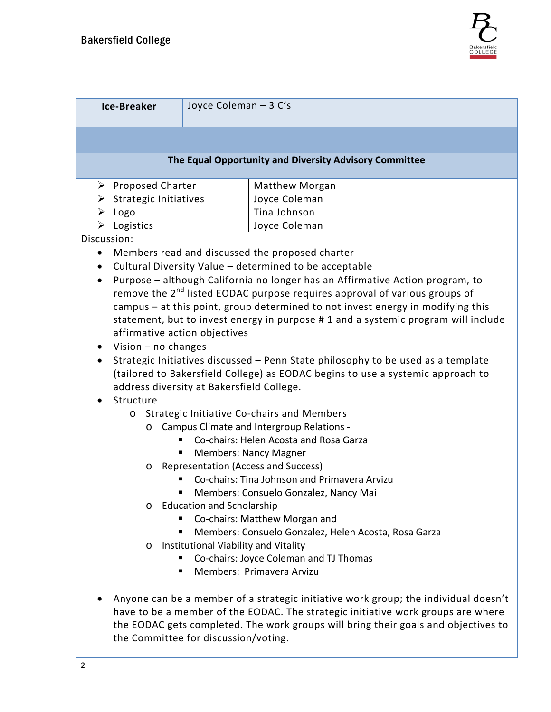

| <b>Ice-Breaker</b>                                                                                                                                                                                                                                                                                                                                                                                                                                                                                                                                                                                                                                                                                                                                                                                                                                                                                                                                                                                                                                                                                                                                                                                                                                                                                                                                                                                                                                                                                                                                                                                                                                                                                                                                                                                                                                                                                                            | Joyce Coleman - 3 C's |  |  |  |  |
|-------------------------------------------------------------------------------------------------------------------------------------------------------------------------------------------------------------------------------------------------------------------------------------------------------------------------------------------------------------------------------------------------------------------------------------------------------------------------------------------------------------------------------------------------------------------------------------------------------------------------------------------------------------------------------------------------------------------------------------------------------------------------------------------------------------------------------------------------------------------------------------------------------------------------------------------------------------------------------------------------------------------------------------------------------------------------------------------------------------------------------------------------------------------------------------------------------------------------------------------------------------------------------------------------------------------------------------------------------------------------------------------------------------------------------------------------------------------------------------------------------------------------------------------------------------------------------------------------------------------------------------------------------------------------------------------------------------------------------------------------------------------------------------------------------------------------------------------------------------------------------------------------------------------------------|-----------------------|--|--|--|--|
|                                                                                                                                                                                                                                                                                                                                                                                                                                                                                                                                                                                                                                                                                                                                                                                                                                                                                                                                                                                                                                                                                                                                                                                                                                                                                                                                                                                                                                                                                                                                                                                                                                                                                                                                                                                                                                                                                                                               |                       |  |  |  |  |
| The Equal Opportunity and Diversity Advisory Committee                                                                                                                                                                                                                                                                                                                                                                                                                                                                                                                                                                                                                                                                                                                                                                                                                                                                                                                                                                                                                                                                                                                                                                                                                                                                                                                                                                                                                                                                                                                                                                                                                                                                                                                                                                                                                                                                        |                       |  |  |  |  |
| $\triangleright$ Proposed Charter<br>Matthew Morgan<br>$\triangleright$ Strategic Initiatives<br>Joyce Coleman<br>Tina Johnson<br>Logo<br>➤<br>$\triangleright$ Logistics<br>Joyce Coleman<br>Discussion:<br>Members read and discussed the proposed charter<br>$\bullet$<br>Cultural Diversity Value - determined to be acceptable<br>$\bullet$<br>Purpose - although California no longer has an Affirmative Action program, to<br>$\bullet$<br>remove the 2 <sup>nd</sup> listed EODAC purpose requires approval of various groups of<br>campus - at this point, group determined to not invest energy in modifying this<br>statement, but to invest energy in purpose # 1 and a systemic program will include<br>affirmative action objectives<br>Vision $-$ no changes<br>$\bullet$<br>Strategic Initiatives discussed - Penn State philosophy to be used as a template<br>(tailored to Bakersfield College) as EODAC begins to use a systemic approach to<br>address diversity at Bakersfield College.<br>Structure<br>$\bullet$<br>Strategic Initiative Co-chairs and Members<br>$\circ$<br>Campus Climate and Intergroup Relations -<br>O<br>Co-chairs: Helen Acosta and Rosa Garza<br>٠<br><b>Members: Nancy Magner</b><br>Representation (Access and Success)<br>$\circ$<br>Co-chairs: Tina Johnson and Primavera Arvizu<br>Members: Consuelo Gonzalez, Nancy Mai<br><b>Education and Scholarship</b><br>$\circ$<br>Co-chairs: Matthew Morgan and<br>Members: Consuelo Gonzalez, Helen Acosta, Rosa Garza<br>ш<br>Institutional Viability and Vitality<br>$\circ$<br>Co-chairs: Joyce Coleman and TJ Thomas<br>п<br>Members: Primavera Arvizu<br>٠<br>Anyone can be a member of a strategic initiative work group; the individual doesn't<br>have to be a member of the EODAC. The strategic initiative work groups are where<br>the EODAC gets completed. The work groups will bring their goals and objectives to |                       |  |  |  |  |
| the Committee for discussion/voting.                                                                                                                                                                                                                                                                                                                                                                                                                                                                                                                                                                                                                                                                                                                                                                                                                                                                                                                                                                                                                                                                                                                                                                                                                                                                                                                                                                                                                                                                                                                                                                                                                                                                                                                                                                                                                                                                                          |                       |  |  |  |  |